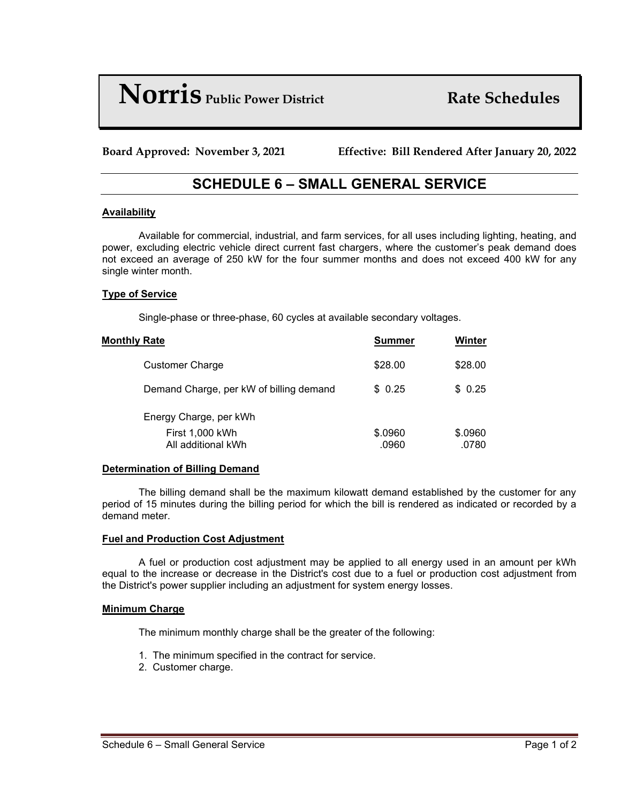# **Norris** *Public Power District* **Rate Schedules**

**Board Approved: November 3, 2021 Effective: Bill Rendered After January 20, 2022**

# **SCHEDULE 6 – SMALL GENERAL SERVICE**

# **Availability**

Available for commercial, industrial, and farm services, for all uses including lighting, heating, and power, excluding electric vehicle direct current fast chargers, where the customer's peak demand does not exceed an average of 250 kW for the four summer months and does not exceed 400 kW for any single winter month.

# **Type of Service**

Single-phase or three-phase, 60 cycles at available secondary voltages.

| <b>Monthly Rate</b> |                                         | Summer           | Winter           |
|---------------------|-----------------------------------------|------------------|------------------|
|                     | <b>Customer Charge</b>                  | \$28.00          | \$28.00          |
|                     | Demand Charge, per kW of billing demand | \$0.25           | \$0.25           |
|                     | Energy Charge, per kWh                  |                  |                  |
|                     | First 1,000 kWh<br>All additional kWh   | \$.0960<br>.0960 | \$.0960<br>.0780 |

#### **Determination of Billing Demand**

The billing demand shall be the maximum kilowatt demand established by the customer for any period of 15 minutes during the billing period for which the bill is rendered as indicated or recorded by a demand meter.

#### **Fuel and Production Cost Adjustment**

A fuel or production cost adjustment may be applied to all energy used in an amount per kWh equal to the increase or decrease in the District's cost due to a fuel or production cost adjustment from the District's power supplier including an adjustment for system energy losses.

#### **Minimum Charge**

The minimum monthly charge shall be the greater of the following:

- 1. The minimum specified in the contract for service.
- 2. Customer charge.